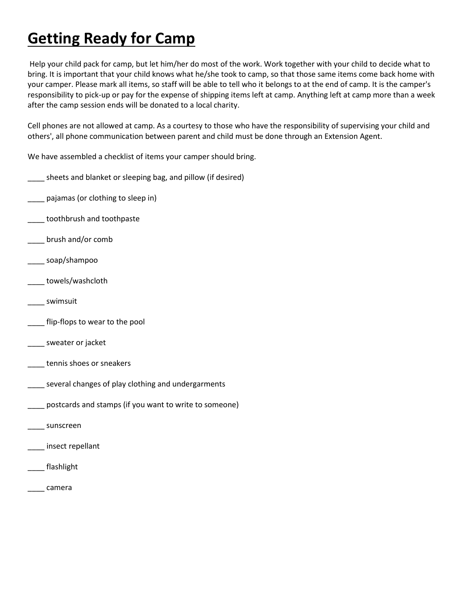## **Getting Ready for Camp**

Help your child pack for camp, but let him/her do most of the work. Work together with your child to decide what to bring. It is important that your child knows what he/she took to camp, so that those same items come back home with your camper. Please mark all items, so staff will be able to tell who it belongs to at the end of camp. It is the camper's responsibility to pick-up or pay for the expense of shipping items left at camp. Anything left at camp more than a week after the camp session ends will be donated to a local charity.

Cell phones are not allowed at camp. As a courtesy to those who have the responsibility of supervising your child and others', all phone communication between parent and child must be done through an Extension Agent.

We have assembled a checklist of items your camper should bring.

- \_\_\_\_ sheets and blanket or sleeping bag, and pillow (if desired)
- \_\_\_\_ pajamas (or clothing to sleep in)
- \_\_\_\_ toothbrush and toothpaste
- \_\_\_\_ brush and/or comb
- \_\_\_\_ soap/shampoo
- \_\_\_\_ towels/washcloth
- \_\_\_\_ swimsuit
- flip-flops to wear to the pool
- \_\_\_ sweater or jacket
- \_\_\_\_ tennis shoes or sneakers
- \_\_\_\_ several changes of play clothing and undergarments
- \_\_\_\_ postcards and stamps (if you want to write to someone)
- \_\_\_\_ sunscreen
- \_\_\_\_ insect repellant
- \_\_\_\_ flashlight
- \_\_\_\_ camera